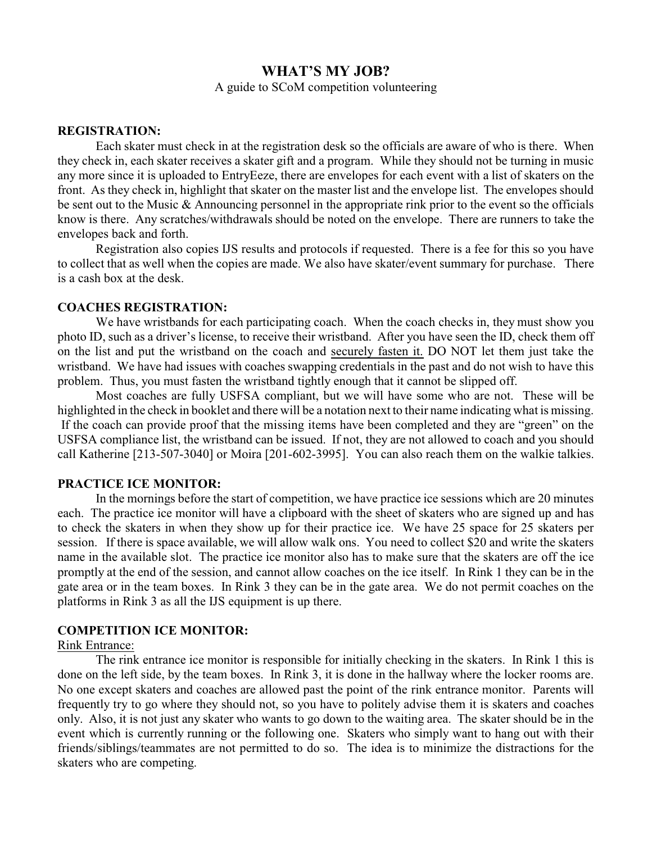# **WHAT'S MY JOB?**

A guide to SCoM competition volunteering

#### **REGISTRATION:**

Each skater must check in at the registration desk so the officials are aware of who is there. When they check in, each skater receives a skater gift and a program. While they should not be turning in music any more since it is uploaded to EntryEeze, there are envelopes for each event with a list of skaters on the front. As they check in, highlight that skater on the master list and the envelope list. The envelopes should be sent out to the Music & Announcing personnel in the appropriate rink prior to the event so the officials know is there. Any scratches/withdrawals should be noted on the envelope. There are runners to take the envelopes back and forth.

Registration also copies IJS results and protocols if requested. There is a fee for this so you have to collect that as well when the copies are made. We also have skater/event summary for purchase. There is a cash box at the desk.

#### **COACHES REGISTRATION:**

We have wristbands for each participating coach. When the coach checks in, they must show you photo ID, such as a driver's license, to receive their wristband. After you have seen the ID, check them off on the list and put the wristband on the coach and securely fasten it. DO NOT let them just take the wristband. We have had issues with coaches swapping credentials in the past and do not wish to have this problem. Thus, you must fasten the wristband tightly enough that it cannot be slipped off.

Most coaches are fully USFSA compliant, but we will have some who are not. These will be highlighted in the check in booklet and there will be a notation next to their name indicating what is missing. If the coach can provide proof that the missing items have been completed and they are "green" on the USFSA compliance list, the wristband can be issued. If not, they are not allowed to coach and you should call Katherine [213-507-3040] or Moira [201-602-3995]. You can also reach them on the walkie talkies.

#### **PRACTICE ICE MONITOR:**

In the mornings before the start of competition, we have practice ice sessions which are 20 minutes each. The practice ice monitor will have a clipboard with the sheet of skaters who are signed up and has to check the skaters in when they show up for their practice ice. We have 25 space for 25 skaters per session. If there is space available, we will allow walk ons. You need to collect \$20 and write the skaters name in the available slot. The practice ice monitor also has to make sure that the skaters are off the ice promptly at the end of the session, and cannot allow coaches on the ice itself. In Rink 1 they can be in the gate area or in the team boxes. In Rink 3 they can be in the gate area. We do not permit coaches on the platforms in Rink 3 as all the IJS equipment is up there.

#### **COMPETITION ICE MONITOR:**

#### Rink Entrance:

The rink entrance ice monitor is responsible for initially checking in the skaters. In Rink 1 this is done on the left side, by the team boxes. In Rink 3, it is done in the hallway where the locker rooms are. No one except skaters and coaches are allowed past the point of the rink entrance monitor. Parents will frequently try to go where they should not, so you have to politely advise them it is skaters and coaches only. Also, it is not just any skater who wants to go down to the waiting area. The skater should be in the event which is currently running or the following one. Skaters who simply want to hang out with their friends/siblings/teammates are not permitted to do so. The idea is to minimize the distractions for the skaters who are competing.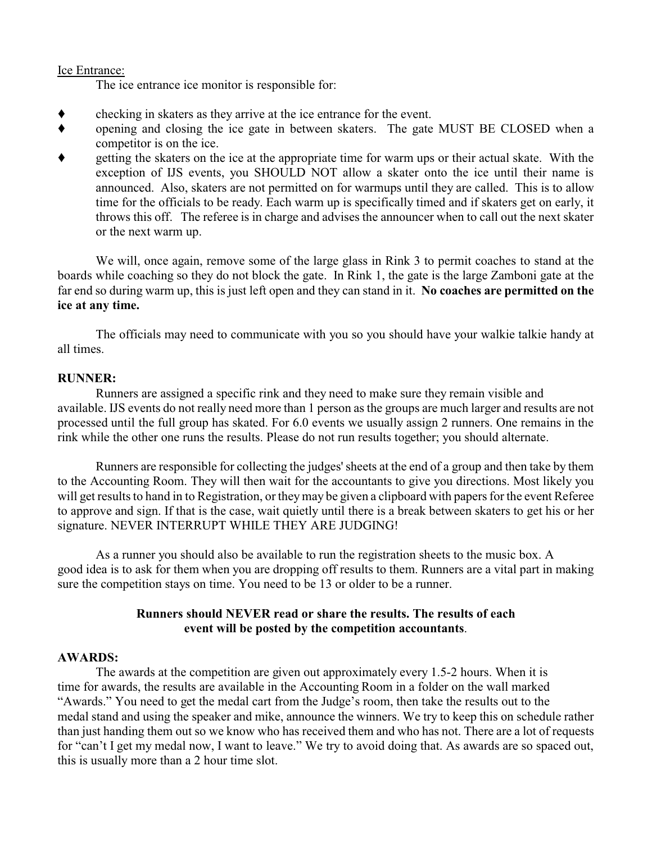### Ice Entrance:

The ice entrance ice monitor is responsible for:

- checking in skaters as they arrive at the ice entrance for the event.
- opening and closing the ice gate in between skaters. The gate MUST BE CLOSED when a competitor is on the ice.
- getting the skaters on the ice at the appropriate time for warm ups or their actual skate. With the exception of IJS events, you SHOULD NOT allow a skater onto the ice until their name is announced. Also, skaters are not permitted on for warmups until they are called. This is to allow time for the officials to be ready. Each warm up is specifically timed and if skaters get on early, it throws this off. The referee is in charge and advises the announcer when to call out the next skater or the next warm up.

We will, once again, remove some of the large glass in Rink 3 to permit coaches to stand at the boards while coaching so they do not block the gate. In Rink 1, the gate is the large Zamboni gate at the far end so during warm up, this is just left open and they can stand in it. **No coaches are permitted on the ice at any time.**

The officials may need to communicate with you so you should have your walkie talkie handy at all times.

## **RUNNER:**

Runners are assigned a specific rink and they need to make sure they remain visible and available. IJS events do not really need more than 1 person as the groups are much larger and results are not processed until the full group has skated. For 6.0 events we usually assign 2 runners. One remains in the rink while the other one runs the results. Please do not run results together; you should alternate.

Runners are responsible for collecting the judges'sheets at the end of a group and then take by them to the Accounting Room. They will then wait for the accountants to give you directions. Most likely you will get results to hand in to Registration, or they may be given a clipboard with papers for the event Referee to approve and sign. If that is the case, wait quietly until there is a break between skaters to get his or her signature. NEVER INTERRUPT WHILE THEY ARE JUDGING!

As a runner you should also be available to run the registration sheets to the music box. A good idea is to ask for them when you are dropping off results to them. Runners are a vital part in making sure the competition stays on time. You need to be 13 or older to be a runner.

## **Runners should NEVER read or share the results. The results of each event will be posted by the competition accountants**.

## **AWARDS:**

The awards at the competition are given out approximately every 1.5-2 hours. When it is time for awards, the results are available in the Accounting Room in a folder on the wall marked "Awards." You need to get the medal cart from the Judge's room, then take the results out to the medal stand and using the speaker and mike, announce the winners. We try to keep this on schedule rather than just handing them out so we know who has received them and who has not. There are a lot of requests for "can't I get my medal now, I want to leave." We try to avoid doing that. As awards are so spaced out, this is usually more than a 2 hour time slot.